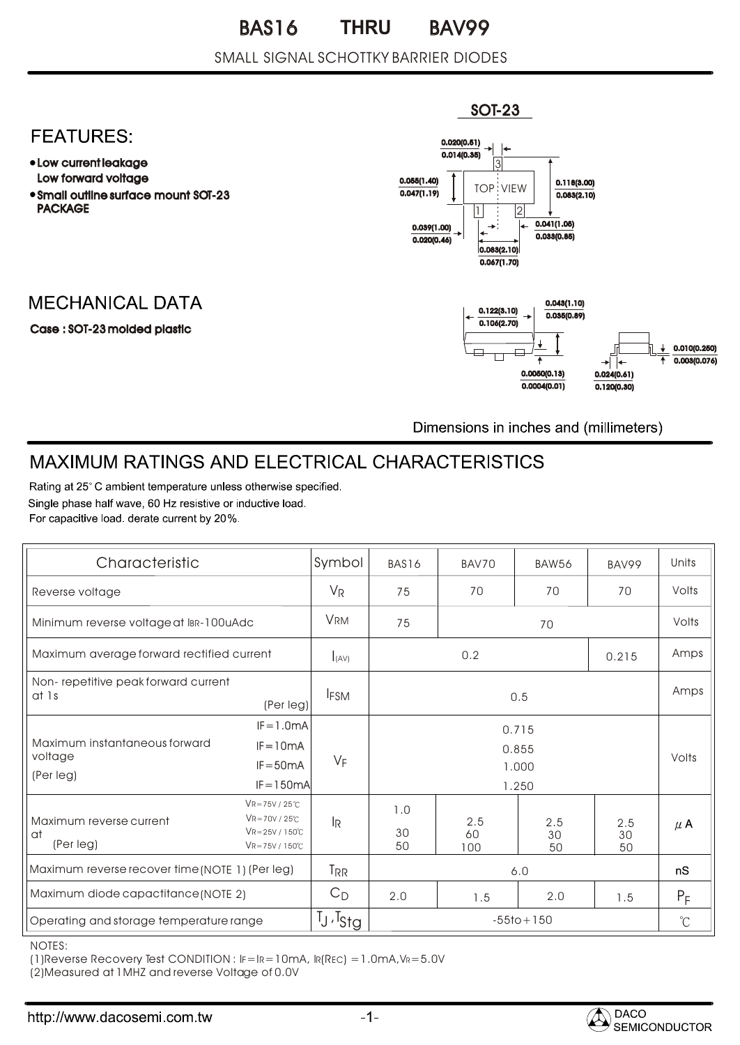#### SMALL SIGNAL SCHOTTKY BARRIER DIODES

### **FEATURES:**

- Low current leakage Low forward voltage
- Small outline surface mount SOT-23 PACKAGE

## **MECHANICAL DATA**

Case : SOT-23 molded plastic



Dimensions in inches and (millimeters)

# MAXIMUM RATINGS AND ELECTRICAL CHARACTERISTICS

Rating at 25°C ambient temperature unless otherwise specified. Single phase half wave, 60 Hz resistive or inductive load. For capacitive load, derate current by 20%.

| Characteristic                                            |                                                                                    | Symbol                           | BAS16           | BAV70            | <b>BAW56</b>    | BAV99           | Units   |
|-----------------------------------------------------------|------------------------------------------------------------------------------------|----------------------------------|-----------------|------------------|-----------------|-----------------|---------|
| Reverse voltage                                           |                                                                                    | $V_{R}$                          | 75              | 70               | 70              | 70              | Volts   |
| Minimum reverse voltage at IBR-100uAdc                    |                                                                                    | <b>VRM</b>                       | 75<br>70        |                  | Volts           |                 |         |
| Maximum average forward rectified current                 |                                                                                    | $I_{(AV)}$                       | 0.2<br>0.215    |                  |                 | Amps            |         |
| Non-repetitive peak forward current<br>at 1s<br>(Per leg) |                                                                                    | <b>IFSM</b>                      | 0.5             |                  |                 | Amps            |         |
| Maximum instantaneous forward<br>voltage<br>(Per leg)     | $IF = 1.0mA$                                                                       |                                  | 0.715           |                  |                 |                 |         |
|                                                           | $IF = 10mA$<br>$IF = 50mA$                                                         | $V_F$                            | 0.855<br>1,000  |                  |                 |                 | Volts   |
|                                                           | $IF = 150mA$                                                                       |                                  | 1.250           |                  |                 |                 |         |
| Maximum reverse current<br>at<br>(Per leg)                | $VR = 75V / 25°C$<br>$VR = 70V / 25°C$<br>$VR = 25V / 150°C$<br>$VR = 75V / 150°C$ | $\mathsf{I}_{\mathsf{R}}$        | 1.0<br>30<br>50 | 2.5<br>60<br>100 | 2.5<br>30<br>50 | 2.5<br>30<br>50 | $\mu$ A |
| Maximum reverse recover time (NOTE 1) (Per leg)           |                                                                                    | <b>TRR</b>                       | 6.0             |                  |                 | nS              |         |
| Maximum diode capactitance (NOTE 2)                       |                                                                                    | $C_D$                            | 2.0             | 1.5              | 2.0             | 1.5             | $P_F$   |
| Operating and storage temperature range                   |                                                                                    | T <sub>J</sub> ,T <sub>Stg</sub> | $-55$ to + 150  |                  |                 | $^{\circ}$ C    |         |

NOTES:

(1)Reverse Recovery Test CONDITION : IF=IR=10mA, IR(REC) =1.0mA,VR=5.0V

(2)Measured at 1MHZ and reverse Voltage of 0.0V

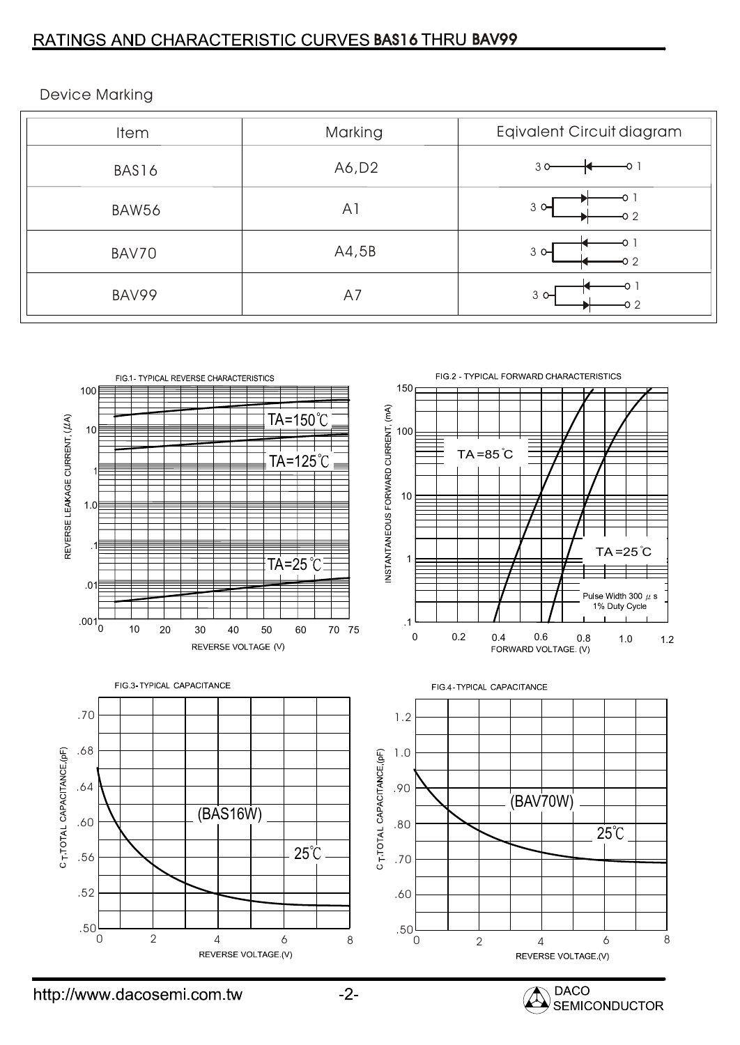### RATINGS AND CHARACTERISTIC CURVES BAS16 THRU BAV99

| <b>Item</b> | Marking        | Eqivalent Circuit diagram |
|-------------|----------------|---------------------------|
| BAS16       | A6, D2         | 30                        |
| BAW56       | A <sub>1</sub> | $3^{\circ}$<br>22         |
| BAV70       | A4,5B          | $3^{\circ}$<br>O 2        |
| BAV99       | A7             | $3^{\circ}$<br>o 2        |



Device Marking